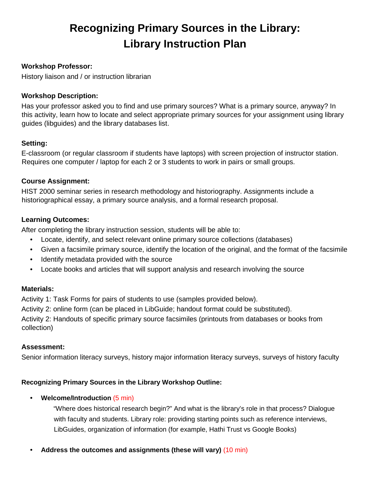# **Recognizing Primary Sources in the Library: Library Instruction Plan**

# **Workshop Professor:**

History liaison and / or instruction librarian

### **Workshop Description:**

Has your professor asked you to find and use primary sources? What is a primary source, anyway? In this activity, learn how to locate and select appropriate primary sources for your assignment using library guides (libguides) and the library databases list.

# **Setting:**

E-classroom (or regular classroom if students have laptops) with screen projection of instructor station. Requires one computer / laptop for each 2 or 3 students to work in pairs or small groups.

# **Course Assignment:**

HIST 2000 seminar series in research methodology and historiography. Assignments include a historiographical essay, a primary source analysis, and a formal research proposal.

# **Learning Outcomes:**

After completing the library instruction session, students will be able to:

- Locate, identify, and select relevant online primary source collections (databases)
- Given a facsimile primary source, identify the location of the original, and the format of the facsimile
- Identify metadata provided with the source
- Locate books and articles that will support analysis and research involving the source

# **Materials:**

Activity 1: Task Forms for pairs of students to use (samples provided below).

Activity 2: online form (can be placed in LibGuide; handout format could be substituted).

Activity 2: Handouts of specific primary source facsimiles (printouts from databases or books from collection)

### **Assessment:**

Senior information literacy surveys, history major information literacy surveys, surveys of history faculty

# **Recognizing Primary Sources in the Library Workshop Outline:**

### • **Welcome/Introduction** (5 min)

"Where does historical research begin?" And what is the library's role in that process? Dialogue with faculty and students. Library role: providing starting points such as reference interviews, LibGuides, organization of information (for example, Hathi Trust vs Google Books)

• **Address the outcomes and assignments (these will vary)** (10 min)